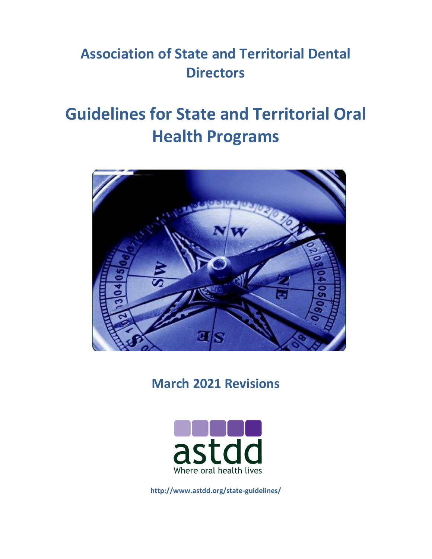## **Association of State and Territorial Dental Directors**

# **Guidelines for State and Territorial Oral Health Programs**



**March 2021 Revisions**



**http://www.astdd.org/state-guidelines/**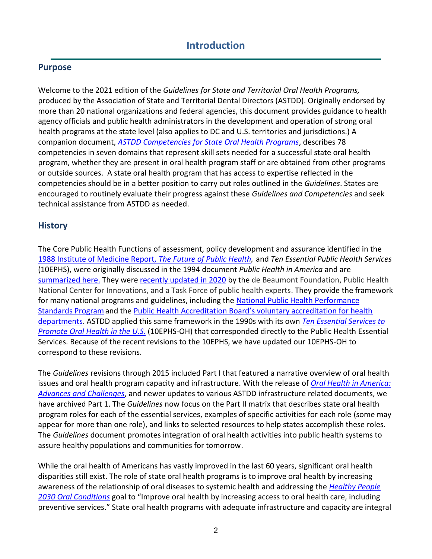#### **Introduction**

#### **Purpose**

Welcome to the 2021 edition of the *Guidelines for State and Territorial Oral Health Programs,*  produced by the Association of State and Territorial Dental Directors (ASTDD). Originally endorsed by more than 20 national organizations and federal agencies, this document provides guidance to health agency officials and public health administrators in the development and operation of strong oral health programs at the state level (also applies to DC and U.S. territories and jurisdictions.) A companion document, *[ASTDD Competencies for State Oral Health Programs](https://www.astdd.org/state-oral-health-program-competencies-and-competency-tools/)*, describes 78 competencies in seven domains that represent skill sets needed for a successful state oral health program, whether they are present in oral health program staff or are obtained from other programs or outside sources. A state oral health program that has access to expertise reflected in the competencies should be in a better position to carry out roles outlined in the *Guidelines*. States are encouraged to routinely evaluate their progress against these *Guidelines and Competencies* and seek technical assistance from ASTDD as needed.

#### **History**

The Core Public Health Functions of assessment, policy development and assurance identified in the [1988 Institute of Medicine Report,](https://www.nap.edu/login.php?record_id=1091&page=https%3A%2F%2Fwww.nap.edu%2Fdownload%2F1091) *The Future of Public Health,* and *Ten Essential Public Health Services* (10EPHS), were originally discussed in the 1994 document *Public Health in America* and are [summarized here.](https://commed.vcu.edu/IntroPH/Introduction/Ess%20Pub%20Hlth%20Skills.htm) They were [recently updated in 2020](http://phnci.org/national-frameworks/10-ephs) by the de Beaumont Foundation, Public Health National Center for Innovations, and a Task Force of public health experts. They provide the framework for many national programs and guidelines, including the [National Public Health Performance](https://www.cdc.gov/publichealthgateway/nphps/index.html)  [Standards Programa](https://www.cdc.gov/publichealthgateway/nphps/index.html)nd the [Public Health Accreditation Board's voluntary accreditation for health](https://phaboard.org/what-is-public-health-department-accreditation/)  [departments.](https://phaboard.org/what-is-public-health-department-accreditation/) ASTDD applied this same framework in the 1990s with its own *[Ten Essential Services to](https://www.astdd.org/docs/essential-public-health-services-to-promote-health-and-oh.pdf)  [Promote Oral Health in the U.S.](https://www.astdd.org/docs/essential-public-health-services-to-promote-health-and-oh.pdf)* (10EPHS-OH) that corresponded directly to the Public Health Essential Services. Because of the recent revisions to the 10EPHS, we have updated our 10EPHS-OH to correspond to these revisions.

The *Guidelines* revisions through 2015 included Part I that featured a narrative overview of oral health issues and oral health program capacity and infrastructure. With the release of *[Oral Health in America:](https://r.search.yahoo.com/_ylt=AwrT4aHIchpiYKUAs7pXNyoA;_ylu=Y29sbwNncTEEcG9zAzEEdnRpZANBMDYzNF8xBHNlYwNzcg--/RV=2/RE=1645929288/RO=10/RU=https%3a%2f%2fwww.nidcr.nih.gov%2foralhealthinamerica/RK=2/RS=96P8OTPL62KF7cN5KModrHXrVgM-)  [Advances and Challenges](https://r.search.yahoo.com/_ylt=AwrT4aHIchpiYKUAs7pXNyoA;_ylu=Y29sbwNncTEEcG9zAzEEdnRpZANBMDYzNF8xBHNlYwNzcg--/RV=2/RE=1645929288/RO=10/RU=https%3a%2f%2fwww.nidcr.nih.gov%2foralhealthinamerica/RK=2/RS=96P8OTPL62KF7cN5KModrHXrVgM-)*, and newer updates to various ASTDD infrastructure related documents, we have archived Part 1. The *Guidelines* now focus on the Part II matrix that describes state oral health program roles for each of the essential services, examples of specific activities for each role (some may appear for more than one role), and links to selected resources to help states accomplish these roles. The *Guidelines* document promotes integration of oral health activities into public health systems to assure healthy populations and communities for tomorrow.

While the oral health of Americans has vastly improved in the last 60 years, significant oral health disparities still exist. The role of state oral health programs is to improve oral health by increasing awareness of the relationship of oral diseases to systemic health and addressing the *[Healthy People](https://health.gov/healthypeople/objectives-and-data/browse-objectives/oral-conditions)  [2030 Oral Conditions](https://health.gov/healthypeople/objectives-and-data/browse-objectives/oral-conditions)* goal to "Improve oral health by increasing access to oral health care, including preventive services." State oral health programs with adequate infrastructure and capacity are integral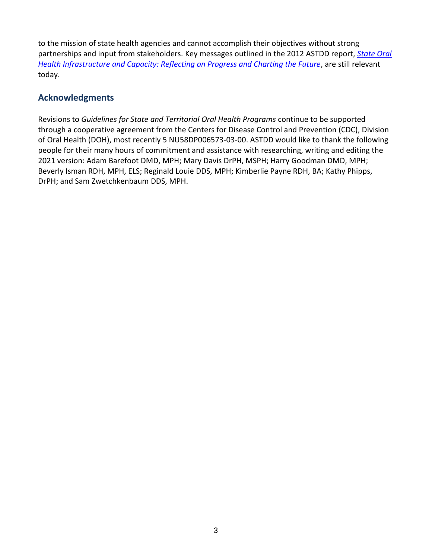to the mission of state health agencies and cannot accomplish their objectives without strong partnerships and input from stakeholders. Key messages outlined in the 2012 ASTDD report, *[State Oral](https://www.astdd.org/docs/infrastructure-enhancement-project-feb-2012.pdf)  [Health Infrastructure and Capacity: Reflecting on Progress and Charting the Future](https://www.astdd.org/docs/infrastructure-enhancement-project-feb-2012.pdf), are still relevant* today.

#### **Acknowledgments**

Revisions to *Guidelines for State and Territorial Oral Health Programs* continue to be supported through a cooperative agreement from the Centers for Disease Control and Prevention (CDC), Division of Oral Health (DOH), most recently 5 NU58DP006573-03-00. ASTDD would like to thank the following people for their many hours of commitment and assistance with researching, writing and editing the 2021 version: Adam Barefoot DMD, MPH; Mary Davis DrPH, MSPH; Harry Goodman DMD, MPH; Beverly Isman RDH, MPH, ELS; Reginald Louie DDS, MPH; Kimberlie Payne RDH, BA; Kathy Phipps, DrPH; and Sam Zwetchkenbaum DDS, MPH.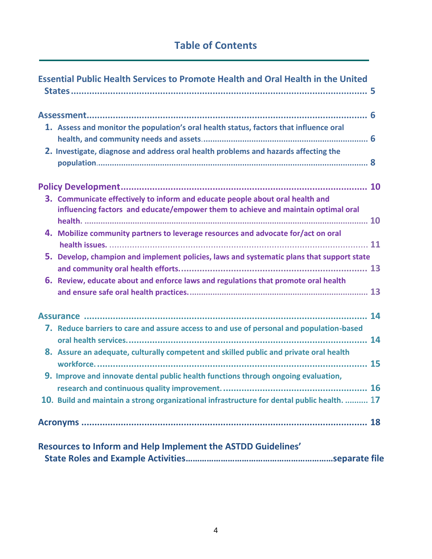### **Table of Contents**

| <b>Essential Public Health Services to Promote Health and Oral Health in the United</b>                                                                                            |
|------------------------------------------------------------------------------------------------------------------------------------------------------------------------------------|
| 1. Assess and monitor the population's oral health status, factors that influence oral<br>2. Investigate, diagnose and address oral health problems and hazards affecting the      |
|                                                                                                                                                                                    |
| 3. Communicate effectively to inform and educate people about oral health and<br>influencing factors and educate/empower them to achieve and maintain optimal oral                 |
| 4. Mobilize community partners to leverage resources and advocate for/act on oral                                                                                                  |
| 5. Develop, champion and implement policies, laws and systematic plans that support state                                                                                          |
| 6. Review, educate about and enforce laws and regulations that promote oral health                                                                                                 |
|                                                                                                                                                                                    |
| 7. Reduce barriers to care and assure access to and use of personal and population-based<br>8. Assure an adequate, culturally competent and skilled public and private oral health |
| 9. Improve and innovate dental public health functions through ongoing evaluation,                                                                                                 |
| $\mathbf{.}$ 16<br>10. Build and maintain a strong organizational infrastructure for dental public health.  17                                                                     |
|                                                                                                                                                                                    |
| Resources to Inform and Help Implement the ASTDD Guidelines'                                                                                                                       |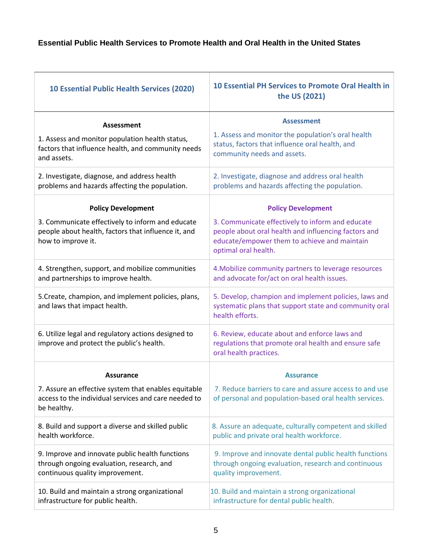#### **Essential Public Health Services to Promote Health and Oral Health in the United States**

| <b>10 Essential Public Health Services (2020)</b>                                                                               | <b>10 Essential PH Services to Promote Oral Health in</b><br>the US (2021)                                                                                                       |
|---------------------------------------------------------------------------------------------------------------------------------|----------------------------------------------------------------------------------------------------------------------------------------------------------------------------------|
| Assessment                                                                                                                      | <b>Assessment</b>                                                                                                                                                                |
| 1. Assess and monitor population health status,<br>factors that influence health, and community needs<br>and assets.            | 1. Assess and monitor the population's oral health<br>status, factors that influence oral health, and<br>community needs and assets.                                             |
| 2. Investigate, diagnose, and address health<br>problems and hazards affecting the population.                                  | 2. Investigate, diagnose and address oral health<br>problems and hazards affecting the population.                                                                               |
| <b>Policy Development</b>                                                                                                       | <b>Policy Development</b>                                                                                                                                                        |
| 3. Communicate effectively to inform and educate<br>people about health, factors that influence it, and<br>how to improve it.   | 3. Communicate effectively to inform and educate<br>people about oral health and influencing factors and<br>educate/empower them to achieve and maintain<br>optimal oral health. |
| 4. Strengthen, support, and mobilize communities<br>and partnerships to improve health.                                         | 4. Mobilize community partners to leverage resources<br>and advocate for/act on oral health issues.                                                                              |
| 5. Create, champion, and implement policies, plans,<br>and laws that impact health.                                             | 5. Develop, champion and implement policies, laws and<br>systematic plans that support state and community oral<br>health efforts.                                               |
| 6. Utilize legal and regulatory actions designed to<br>improve and protect the public's health.                                 | 6. Review, educate about and enforce laws and<br>regulations that promote oral health and ensure safe<br>oral health practices.                                                  |
| <b>Assurance</b>                                                                                                                | <b>Assurance</b>                                                                                                                                                                 |
| 7. Assure an effective system that enables equitable<br>access to the individual services and care needed to<br>be healthy.     | 7. Reduce barriers to care and assure access to and use<br>of personal and population-based oral health services.                                                                |
| 8. Build and support a diverse and skilled public<br>health workforce.                                                          | 8. Assure an adequate, culturally competent and skilled<br>public and private oral health workforce.                                                                             |
| 9. Improve and innovate public health functions<br>through ongoing evaluation, research, and<br>continuous quality improvement. | 9. Improve and innovate dental public health functions<br>through ongoing evaluation, research and continuous<br>quality improvement.                                            |
| 10. Build and maintain a strong organizational<br>infrastructure for public health.                                             | 10. Build and maintain a strong organizational<br>infrastructure for dental public health.                                                                                       |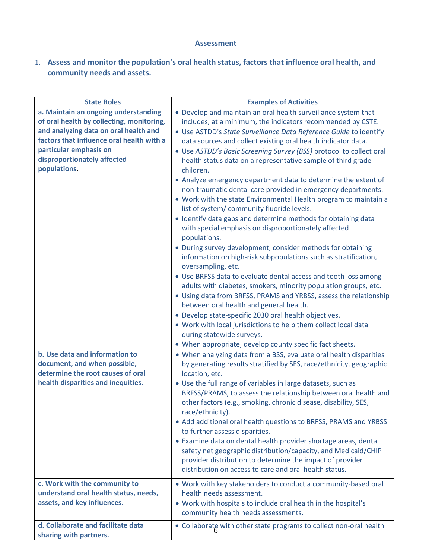#### **Assessment**

1. **Assess and monitor the population's oral health status, factors that influence oral health, and community needs and assets.**

| <b>State Roles</b>                        | <b>Examples of Activities</b>                                                                                               |
|-------------------------------------------|-----------------------------------------------------------------------------------------------------------------------------|
| a. Maintain an ongoing understanding      | • Develop and maintain an oral health surveillance system that                                                              |
| of oral health by collecting, monitoring, | includes, at a minimum, the indicators recommended by CSTE.                                                                 |
| and analyzing data on oral health and     | • Use ASTDD's State Surveillance Data Reference Guide to identify                                                           |
| factors that influence oral health with a | data sources and collect existing oral health indicator data.                                                               |
| particular emphasis on                    | • Use ASTDD's Basic Screening Survey (BSS) protocol to collect oral                                                         |
| disproportionately affected               | health status data on a representative sample of third grade                                                                |
| populations.                              | children.                                                                                                                   |
|                                           | • Analyze emergency department data to determine the extent of                                                              |
|                                           | non-traumatic dental care provided in emergency departments.                                                                |
|                                           | • Work with the state Environmental Health program to maintain a                                                            |
|                                           | list of system/community fluoride levels.                                                                                   |
|                                           | · Identify data gaps and determine methods for obtaining data                                                               |
|                                           | with special emphasis on disproportionately affected                                                                        |
|                                           | populations.                                                                                                                |
|                                           | • During survey development, consider methods for obtaining                                                                 |
|                                           | information on high-risk subpopulations such as stratification,                                                             |
|                                           | oversampling, etc.                                                                                                          |
|                                           | • Use BRFSS data to evaluate dental access and tooth loss among                                                             |
|                                           | adults with diabetes, smokers, minority population groups, etc.                                                             |
|                                           | • Using data from BRFSS, PRAMS and YRBSS, assess the relationship                                                           |
|                                           | between oral health and general health.                                                                                     |
|                                           | • Develop state-specific 2030 oral health objectives.                                                                       |
|                                           | . Work with local jurisdictions to help them collect local data                                                             |
|                                           | during statewide surveys.                                                                                                   |
|                                           | • When appropriate, develop county specific fact sheets.                                                                    |
| b. Use data and information to            | • When analyzing data from a BSS, evaluate oral health disparities                                                          |
| document, and when possible,              | by generating results stratified by SES, race/ethnicity, geographic                                                         |
| determine the root causes of oral         | location, etc.                                                                                                              |
| health disparities and inequities.        | • Use the full range of variables in large datasets, such as                                                                |
|                                           | BRFSS/PRAMS, to assess the relationship between oral health and                                                             |
|                                           | other factors (e.g., smoking, chronic disease, disability, SES,                                                             |
|                                           | race/ethnicity).                                                                                                            |
|                                           | • Add additional oral health questions to BRFSS, PRAMS and YRBSS                                                            |
|                                           | to further assess disparities.                                                                                              |
|                                           | • Examine data on dental health provider shortage areas, dental                                                             |
|                                           | safety net geographic distribution/capacity, and Medicaid/CHIP<br>provider distribution to determine the impact of provider |
|                                           | distribution on access to care and oral health status.                                                                      |
|                                           |                                                                                                                             |
| c. Work with the community to             | . Work with key stakeholders to conduct a community-based oral                                                              |
| understand oral health status, needs,     | health needs assessment.                                                                                                    |
| assets, and key influences.               | . Work with hospitals to include oral health in the hospital's                                                              |
|                                           | community health needs assessments.                                                                                         |
| d. Collaborate and facilitate data        | • Collaborate with other state programs to collect non-oral health                                                          |
| sharing with partners.                    |                                                                                                                             |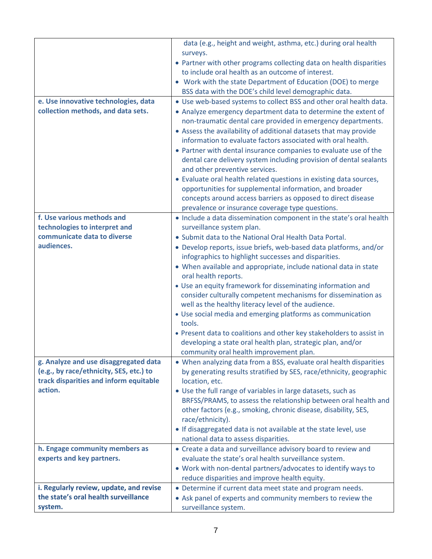|                                         | data (e.g., height and weight, asthma, etc.) during oral health                                                          |
|-----------------------------------------|--------------------------------------------------------------------------------------------------------------------------|
|                                         | surveys.                                                                                                                 |
|                                         | • Partner with other programs collecting data on health disparities<br>to include oral health as an outcome of interest. |
|                                         | • Work with the state Department of Education (DOE) to merge                                                             |
|                                         | BSS data with the DOE's child level demographic data.                                                                    |
| e. Use innovative technologies, data    | . Use web-based systems to collect BSS and other oral health data.                                                       |
| collection methods, and data sets.      | • Analyze emergency department data to determine the extent of                                                           |
|                                         | non-traumatic dental care provided in emergency departments.                                                             |
|                                         | • Assess the availability of additional datasets that may provide                                                        |
|                                         | information to evaluate factors associated with oral health.                                                             |
|                                         | • Partner with dental insurance companies to evaluate use of the                                                         |
|                                         | dental care delivery system including provision of dental sealants                                                       |
|                                         | and other preventive services.                                                                                           |
|                                         | • Evaluate oral health related questions in existing data sources,                                                       |
|                                         | opportunities for supplemental information, and broader                                                                  |
|                                         | concepts around access barriers as opposed to direct disease<br>prevalence or insurance coverage type questions.         |
| f. Use various methods and              | • Include a data dissemination component in the state's oral health                                                      |
| technologies to interpret and           | surveillance system plan.                                                                                                |
| communicate data to diverse             | • Submit data to the National Oral Health Data Portal.                                                                   |
| audiences.                              | • Develop reports, issue briefs, web-based data platforms, and/or                                                        |
|                                         | infographics to highlight successes and disparities.                                                                     |
|                                         | • When available and appropriate, include national data in state                                                         |
|                                         | oral health reports.                                                                                                     |
|                                         | • Use an equity framework for disseminating information and                                                              |
|                                         | consider culturally competent mechanisms for dissemination as                                                            |
|                                         | well as the healthy literacy level of the audience.                                                                      |
|                                         | • Use social media and emerging platforms as communication<br>tools.                                                     |
|                                         | • Present data to coalitions and other key stakeholders to assist in                                                     |
|                                         | developing a state oral health plan, strategic plan, and/or                                                              |
|                                         | community oral health improvement plan.                                                                                  |
| g. Analyze and use disaggregated data   | • When analyzing data from a BSS, evaluate oral health disparities                                                       |
| (e.g., by race/ethnicity, SES, etc.) to | by generating results stratified by SES, race/ethnicity, geographic                                                      |
| track disparities and inform equitable  | location, etc.                                                                                                           |
| action.                                 | • Use the full range of variables in large datasets, such as                                                             |
|                                         | BRFSS/PRAMS, to assess the relationship between oral health and                                                          |
|                                         | other factors (e.g., smoking, chronic disease, disability, SES,                                                          |
|                                         | race/ethnicity).                                                                                                         |
|                                         | . If disaggregated data is not available at the state level, use<br>national data to assess disparities.                 |
| h. Engage community members as          | • Create a data and surveillance advisory board to review and                                                            |
| experts and key partners.               | evaluate the state's oral health surveillance system.                                                                    |
|                                         | • Work with non-dental partners/advocates to identify ways to                                                            |
|                                         | reduce disparities and improve health equity.                                                                            |
| i. Regularly review, update, and revise | • Determine if current data meet state and program needs.                                                                |
| the state's oral health surveillance    | • Ask panel of experts and community members to review the                                                               |
| system.                                 | surveillance system.                                                                                                     |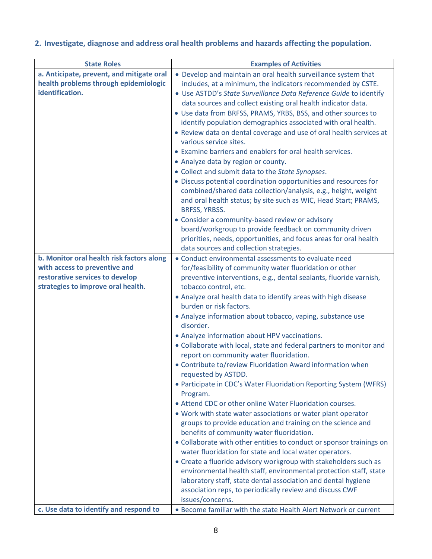#### **2. Investigate, diagnose and address oral health problems and hazards affecting the population.**

| <b>State Roles</b>                        | <b>Examples of Activities</b>                                                                                                      |
|-------------------------------------------|------------------------------------------------------------------------------------------------------------------------------------|
| a. Anticipate, prevent, and mitigate oral | • Develop and maintain an oral health surveillance system that                                                                     |
| health problems through epidemiologic     | includes, at a minimum, the indicators recommended by CSTE.                                                                        |
| identification.                           | • Use ASTDD's State Surveillance Data Reference Guide to identify                                                                  |
|                                           | data sources and collect existing oral health indicator data.                                                                      |
|                                           | • Use data from BRFSS, PRAMS, YRBS, BSS, and other sources to                                                                      |
|                                           | identify population demographics associated with oral health.                                                                      |
|                                           | • Review data on dental coverage and use of oral health services at                                                                |
|                                           | various service sites.                                                                                                             |
|                                           | • Examine barriers and enablers for oral health services.                                                                          |
|                                           | • Analyze data by region or county.                                                                                                |
|                                           | • Collect and submit data to the State Synopses.                                                                                   |
|                                           | • Discuss potential coordination opportunities and resources for<br>combined/shared data collection/analysis, e.g., height, weight |
|                                           | and oral health status; by site such as WIC, Head Start; PRAMS,                                                                    |
|                                           | BRFSS, YRBSS.                                                                                                                      |
|                                           | • Consider a community-based review or advisory                                                                                    |
|                                           | board/workgroup to provide feedback on community driven                                                                            |
|                                           | priorities, needs, opportunities, and focus areas for oral health                                                                  |
|                                           | data sources and collection strategies.                                                                                            |
| b. Monitor oral health risk factors along | • Conduct environmental assessments to evaluate need                                                                               |
| with access to preventive and             | for/feasibility of community water fluoridation or other                                                                           |
| restorative services to develop           | preventive interventions, e.g., dental sealants, fluoride varnish,                                                                 |
| strategies to improve oral health.        | tobacco control, etc.                                                                                                              |
|                                           | • Analyze oral health data to identify areas with high disease                                                                     |
|                                           | burden or risk factors.                                                                                                            |
|                                           | • Analyze information about tobacco, vaping, substance use<br>disorder.                                                            |
|                                           | • Analyze information about HPV vaccinations.                                                                                      |
|                                           | • Collaborate with local, state and federal partners to monitor and                                                                |
|                                           | report on community water fluoridation.                                                                                            |
|                                           | • Contribute to/review Fluoridation Award information when                                                                         |
|                                           | requested by ASTDD.                                                                                                                |
|                                           | • Participate in CDC's Water Fluoridation Reporting System (WFRS)                                                                  |
|                                           | Program.                                                                                                                           |
|                                           | • Attend CDC or other online Water Fluoridation courses.                                                                           |
|                                           | . Work with state water associations or water plant operator                                                                       |
|                                           | groups to provide education and training on the science and                                                                        |
|                                           | benefits of community water fluoridation.                                                                                          |
|                                           | • Collaborate with other entities to conduct or sponsor trainings on<br>water fluoridation for state and local water operators.    |
|                                           | • Create a fluoride advisory workgroup with stakeholders such as                                                                   |
|                                           | environmental health staff, environmental protection staff, state                                                                  |
|                                           | laboratory staff, state dental association and dental hygiene                                                                      |
|                                           | association reps, to periodically review and discuss CWF                                                                           |
|                                           | issues/concerns.                                                                                                                   |
| c. Use data to identify and respond to    | • Become familiar with the state Health Alert Network or current                                                                   |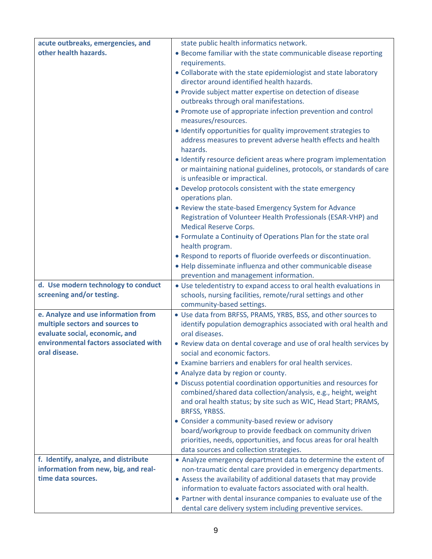| acute outbreaks, emergencies, and     | state public health informatics network.                                                                                          |
|---------------------------------------|-----------------------------------------------------------------------------------------------------------------------------------|
| other health hazards.                 | • Become familiar with the state communicable disease reporting                                                                   |
|                                       | requirements.                                                                                                                     |
|                                       | • Collaborate with the state epidemiologist and state laboratory                                                                  |
|                                       | director around identified health hazards.                                                                                        |
|                                       | • Provide subject matter expertise on detection of disease                                                                        |
|                                       | outbreaks through oral manifestations.                                                                                            |
|                                       | • Promote use of appropriate infection prevention and control                                                                     |
|                                       | measures/resources.                                                                                                               |
|                                       | · Identify opportunities for quality improvement strategies to                                                                    |
|                                       | address measures to prevent adverse health effects and health<br>hazards.                                                         |
|                                       | • Identify resource deficient areas where program implementation                                                                  |
|                                       | or maintaining national guidelines, protocols, or standards of care<br>is unfeasible or impractical.                              |
|                                       | • Develop protocols consistent with the state emergency                                                                           |
|                                       | operations plan.                                                                                                                  |
|                                       | • Review the state-based Emergency System for Advance                                                                             |
|                                       | Registration of Volunteer Health Professionals (ESAR-VHP) and                                                                     |
|                                       | <b>Medical Reserve Corps.</b>                                                                                                     |
|                                       | • Formulate a Continuity of Operations Plan for the state oral                                                                    |
|                                       | health program.                                                                                                                   |
|                                       | . Respond to reports of fluoride overfeeds or discontinuation.                                                                    |
|                                       | . Help disseminate influenza and other communicable disease<br>prevention and management information.                             |
| d. Use modern technology to conduct   | • Use teledentistry to expand access to oral health evaluations in                                                                |
| screening and/or testing.             | schools, nursing facilities, remote/rural settings and other                                                                      |
|                                       | community-based settings.                                                                                                         |
| e. Analyze and use information from   | • Use data from BRFSS, PRAMS, YRBS, BSS, and other sources to                                                                     |
| multiple sectors and sources to       | identify population demographics associated with oral health and                                                                  |
| evaluate social, economic, and        | oral diseases.                                                                                                                    |
| environmental factors associated with | • Review data on dental coverage and use of oral health services by                                                               |
| oral disease.                         | social and economic factors.                                                                                                      |
|                                       | • Examine barriers and enablers for oral health services.                                                                         |
|                                       | • Analyze data by region or county.                                                                                               |
|                                       | • Discuss potential coordination opportunities and resources for                                                                  |
|                                       | combined/shared data collection/analysis, e.g., height, weight<br>and oral health status; by site such as WIC, Head Start; PRAMS, |
|                                       | BRFSS, YRBSS.                                                                                                                     |
|                                       | • Consider a community-based review or advisory                                                                                   |
|                                       | board/workgroup to provide feedback on community driven                                                                           |
|                                       | priorities, needs, opportunities, and focus areas for oral health<br>data sources and collection strategies.                      |
| f. Identify, analyze, and distribute  | • Analyze emergency department data to determine the extent of                                                                    |
| information from new, big, and real-  | non-traumatic dental care provided in emergency departments.                                                                      |
| time data sources.                    | • Assess the availability of additional datasets that may provide                                                                 |
|                                       | information to evaluate factors associated with oral health.                                                                      |
|                                       | • Partner with dental insurance companies to evaluate use of the                                                                  |
|                                       | dental care delivery system including preventive services.                                                                        |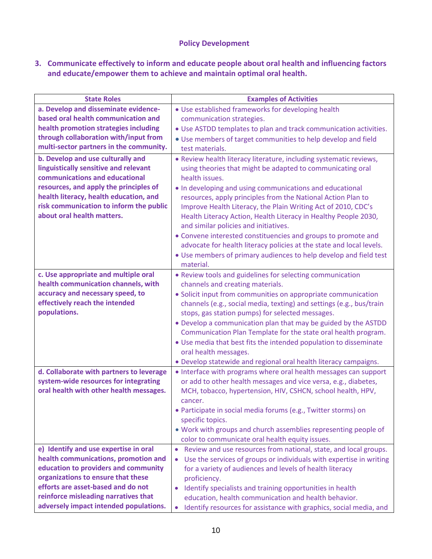#### **Policy Development**

#### **3. Communicate effectively to inform and educate people about oral health and influencing factors and educate/empower them to achieve and maintain optimal oral health.**

| <b>State Roles</b>                       | <b>Examples of Activities</b>                                                    |
|------------------------------------------|----------------------------------------------------------------------------------|
| a. Develop and disseminate evidence-     | • Use established frameworks for developing health                               |
| based oral health communication and      | communication strategies.                                                        |
| health promotion strategies including    | • Use ASTDD templates to plan and track communication activities.                |
| through collaboration with/input from    | • Use members of target communities to help develop and field                    |
| multi-sector partners in the community.  | test materials.                                                                  |
| b. Develop and use culturally and        | . Review health literacy literature, including systematic reviews,               |
| linguistically sensitive and relevant    | using theories that might be adapted to communicating oral                       |
| communications and educational           | health issues.                                                                   |
| resources, and apply the principles of   | . In developing and using communications and educational                         |
| health literacy, health education, and   | resources, apply principles from the National Action Plan to                     |
| risk communication to inform the public  | Improve Health Literacy, the Plain Writing Act of 2010, CDC's                    |
| about oral health matters.               | Health Literacy Action, Health Literacy in Healthy People 2030,                  |
|                                          | and similar policies and initiatives.                                            |
|                                          | • Convene interested constituencies and groups to promote and                    |
|                                          | advocate for health literacy policies at the state and local levels.             |
|                                          | • Use members of primary audiences to help develop and field test                |
|                                          | material.                                                                        |
| c. Use appropriate and multiple oral     | • Review tools and guidelines for selecting communication                        |
| health communication channels, with      | channels and creating materials.                                                 |
| accuracy and necessary speed, to         | • Solicit input from communities on appropriate communication                    |
| effectively reach the intended           | channels (e.g., social media, texting) and settings (e.g., bus/train             |
| populations.                             | stops, gas station pumps) for selected messages.                                 |
|                                          | • Develop a communication plan that may be guided by the ASTDD                   |
|                                          | Communication Plan Template for the state oral health program.                   |
|                                          | • Use media that best fits the intended population to disseminate                |
|                                          | oral health messages.                                                            |
|                                          | . Develop statewide and regional oral health literacy campaigns.                 |
| d. Collaborate with partners to leverage | • Interface with programs where oral health messages can support                 |
| system-wide resources for integrating    | or add to other health messages and vice versa, e.g., diabetes,                  |
| oral health with other health messages.  | MCH, tobacco, hypertension, HIV, CSHCN, school health, HPV,                      |
|                                          | cancer.                                                                          |
|                                          | · Participate in social media forums (e.g., Twitter storms) on                   |
|                                          | specific topics.                                                                 |
|                                          | . Work with groups and church assemblies representing people of                  |
|                                          | color to communicate oral health equity issues.                                  |
| e) Identify and use expertise in oral    | Review and use resources from national, state, and local groups.<br>$\bullet$    |
| health communications, promotion and     | Use the services of groups or individuals with expertise in writing<br>$\bullet$ |
| education to providers and community     | for a variety of audiences and levels of health literacy                         |
| organizations to ensure that these       | proficiency.                                                                     |
| efforts are asset-based and do not       | Identify specialists and training opportunities in health<br>$\bullet$           |
| reinforce misleading narratives that     | education, health communication and health behavior.                             |
| adversely impact intended populations.   | Identify resources for assistance with graphics, social media, and<br>$\bullet$  |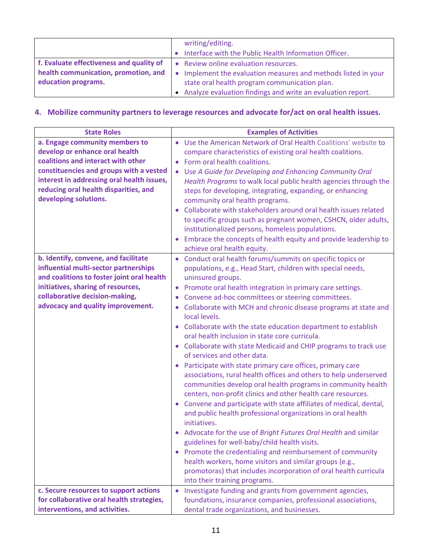|                                                                                                         | writing/editing.<br>Interface with the Public Health Information Officer.                                                                                                                                                 |
|---------------------------------------------------------------------------------------------------------|---------------------------------------------------------------------------------------------------------------------------------------------------------------------------------------------------------------------------|
| f. Evaluate effectiveness and quality of<br>health communication, promotion, and<br>education programs. | • Review online evaluation resources.<br>• Implement the evaluation measures and methods listed in your<br>state oral health program communication plan.<br>• Analyze evaluation findings and write an evaluation report. |

#### **4. Mobilize community partners to leverage resources and advocate for/act on oral health issues.**

| <b>State Roles</b>                         | <b>Examples of Activities</b>                                         |
|--------------------------------------------|-----------------------------------------------------------------------|
| a. Engage community members to             | • Use the American Network of Oral Health Coalitions' website to      |
| develop or enhance oral health             | compare characteristics of existing oral health coalitions.           |
| coalitions and interact with other         | Form oral health coalitions.                                          |
| constituencies and groups with a vested    | • Use A Guide for Developing and Enhancing Community Oral             |
| interest in addressing oral health issues, | Health Programs to walk local public health agencies through the      |
| reducing oral health disparities, and      | steps for developing, integrating, expanding, or enhancing            |
| developing solutions.                      | community oral health programs.                                       |
|                                            | Collaborate with stakeholders around oral health issues related       |
|                                            | to specific groups such as pregnant women, CSHCN, older adults,       |
|                                            | institutionalized persons, homeless populations.                      |
|                                            | Embrace the concepts of health equity and provide leadership to       |
|                                            | achieve oral health equity.                                           |
| b. Identify, convene, and facilitate       | Conduct oral health forums/summits on specific topics or              |
| influential multi-sector partnerships      | populations, e.g., Head Start, children with special needs,           |
| and coalitions to foster joint oral health | uninsured groups.                                                     |
| initiatives, sharing of resources,         | Promote oral health integration in primary care settings.             |
| collaborative decision-making,             | Convene ad-hoc committees or steering committees.                     |
| advocacy and quality improvement.          | Collaborate with MCH and chronic disease programs at state and        |
|                                            | $\bullet$<br>local levels.                                            |
|                                            | Collaborate with the state education department to establish          |
|                                            | oral health inclusion in state core curricula.                        |
|                                            | • Collaborate with state Medicaid and CHIP programs to track use      |
|                                            | of services and other data.                                           |
|                                            | Participate with state primary care offices, primary care             |
|                                            | associations, rural health offices and others to help underserved     |
|                                            | communities develop oral health programs in community health          |
|                                            | centers, non-profit clinics and other health care resources.          |
|                                            | Convene and participate with state affiliates of medical, dental,     |
|                                            | and public health professional organizations in oral health           |
|                                            | initiatives.                                                          |
|                                            | Advocate for the use of Bright Futures Oral Health and similar        |
|                                            | guidelines for well-baby/child health visits.                         |
|                                            | Promote the credentialing and reimbursement of community              |
|                                            | health workers, home visitors and similar groups (e.g.,               |
|                                            | promotoras) that includes incorporation of oral health curricula      |
|                                            | into their training programs.                                         |
| c. Secure resources to support actions     | Investigate funding and grants from government agencies,<br>$\bullet$ |
| for collaborative oral health strategies,  | foundations, insurance companies, professional associations,          |
| interventions, and activities.             | dental trade organizations, and businesses.                           |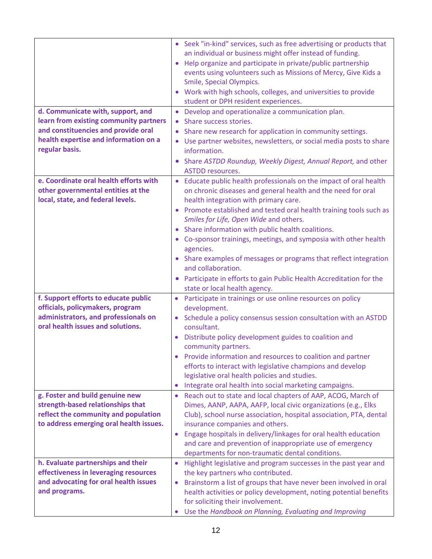| d. Communicate with, support, and<br>learn from existing community partners<br>and constituencies and provide oral<br>health expertise and information on a<br>regular basis. | • Seek "in-kind" services, such as free advertising or products that<br>an individual or business might offer instead of funding.<br>Help organize and participate in private/public partnership<br>events using volunteers such as Missions of Mercy, Give Kids a<br>Smile, Special Olympics.<br>• Work with high schools, colleges, and universities to provide<br>student or DPH resident experiences.<br>• Develop and operationalize a communication plan.<br>Share success stories.<br>Share new research for application in community settings.<br>Use partner websites, newsletters, or social media posts to share<br>information.<br>Share ASTDD Roundup, Weekly Digest, Annual Report, and other<br><b>ASTDD resources.</b> |
|-------------------------------------------------------------------------------------------------------------------------------------------------------------------------------|----------------------------------------------------------------------------------------------------------------------------------------------------------------------------------------------------------------------------------------------------------------------------------------------------------------------------------------------------------------------------------------------------------------------------------------------------------------------------------------------------------------------------------------------------------------------------------------------------------------------------------------------------------------------------------------------------------------------------------------|
| e. Coordinate oral health efforts with<br>other governmental entities at the<br>local, state, and federal levels.                                                             | Educate public health professionals on the impact of oral health<br>on chronic diseases and general health and the need for oral<br>health integration with primary care.<br>Promote established and tested oral health training tools such as<br>Smiles for Life, Open Wide and others.<br>Share information with public health coalitions.<br>• Co-sponsor trainings, meetings, and symposia with other health<br>agencies.<br>• Share examples of messages or programs that reflect integration<br>and collaboration.<br>Participate in efforts to gain Public Health Accreditation for the<br>state or local health agency.                                                                                                        |
| f. Support efforts to educate public<br>officials, policymakers, program<br>administrators, and professionals on<br>oral health issues and solutions.                         | Participate in trainings or use online resources on policy<br>$\bullet$<br>development.<br>Schedule a policy consensus session consultation with an ASTDD<br>$\bullet$<br>consultant.<br>Distribute policy development guides to coalition and<br>community partners.<br>Provide information and resources to coalition and partner<br>efforts to interact with legislative champions and develop<br>legislative oral health policies and studies.                                                                                                                                                                                                                                                                                     |
| g. Foster and build genuine new<br>strength-based relationships that<br>reflect the community and population<br>to address emerging oral health issues.                       | Integrate oral health into social marketing campaigns.<br>$\bullet$<br>Reach out to state and local chapters of AAP, ACOG, March of<br>$\bullet$<br>Dimes, AANP, AAPA, AAFP, local civic organizations (e.g., Elks<br>Club), school nurse association, hospital association, PTA, dental<br>insurance companies and others.<br>Engage hospitals in delivery/linkages for oral health education<br>$\bullet$<br>and care and prevention of inappropriate use of emergency<br>departments for non-traumatic dental conditions.                                                                                                                                                                                                           |
| h. Evaluate partnerships and their<br>effectiveness in leveraging resources<br>and advocating for oral health issues<br>and programs.                                         | Highlight legislative and program successes in the past year and<br>$\bullet$<br>the key partners who contributed.<br>Brainstorm a list of groups that have never been involved in oral<br>$\bullet$<br>health activities or policy development, noting potential benefits<br>for soliciting their involvement.<br>Use the Handbook on Planning, Evaluating and Improving<br>$\bullet$                                                                                                                                                                                                                                                                                                                                                 |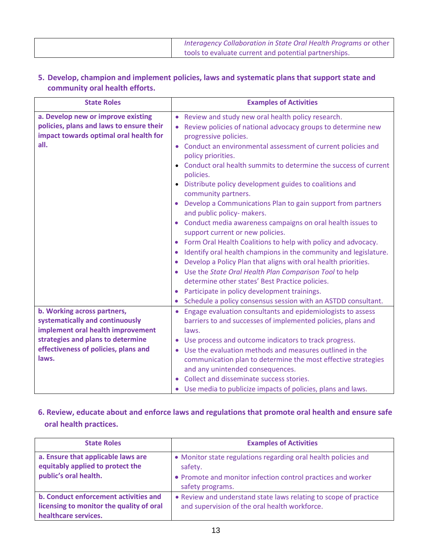| Interagency Collaboration in State Oral Health Programs or other |
|------------------------------------------------------------------|
| tools to evaluate current and potential partnerships.            |

#### **5. Develop, champion and implement policies, laws and systematic plans that support state and community oral health efforts.**

| <b>State Roles</b>                                                                                                                                                                        | <b>Examples of Activities</b>                                                                                                                                                                                                                                                                                                                                                                                                                                                                                                                                                                                                                                                                                                                                                                                                                                                                                                                                                                                                                                                            |
|-------------------------------------------------------------------------------------------------------------------------------------------------------------------------------------------|------------------------------------------------------------------------------------------------------------------------------------------------------------------------------------------------------------------------------------------------------------------------------------------------------------------------------------------------------------------------------------------------------------------------------------------------------------------------------------------------------------------------------------------------------------------------------------------------------------------------------------------------------------------------------------------------------------------------------------------------------------------------------------------------------------------------------------------------------------------------------------------------------------------------------------------------------------------------------------------------------------------------------------------------------------------------------------------|
| a. Develop new or improve existing<br>policies, plans and laws to ensure their<br>impact towards optimal oral health for<br>all.                                                          | Review and study new oral health policy research.<br>$\bullet$<br>Review policies of national advocacy groups to determine new<br>progressive policies.<br>Conduct an environmental assessment of current policies and<br>$\bullet$<br>policy priorities.<br>Conduct oral health summits to determine the success of current<br>$\bullet$<br>policies.<br>Distribute policy development guides to coalitions and<br>$\bullet$<br>community partners.<br>Develop a Communications Plan to gain support from partners<br>and public policy- makers.<br>Conduct media awareness campaigns on oral health issues to<br>support current or new policies.<br>Form Oral Health Coalitions to help with policy and advocacy.<br>$\bullet$<br>Identify oral health champions in the community and legislature.<br>$\bullet$<br>Develop a Policy Plan that aligns with oral health priorities.<br>$\bullet$<br>Use the State Oral Health Plan Comparison Tool to help<br>$\bullet$<br>determine other states' Best Practice policies.<br>Participate in policy development trainings.<br>$\bullet$ |
| b. Working across partners,<br>systematically and continuously<br>implement oral health improvement<br>strategies and plans to determine<br>effectiveness of policies, plans and<br>laws. | Schedule a policy consensus session with an ASTDD consultant.<br>$\bullet$<br>Engage evaluation consultants and epidemiologists to assess<br>$\bullet$<br>barriers to and successes of implemented policies, plans and<br>laws.<br>Use process and outcome indicators to track progress.<br>Use the evaluation methods and measures outlined in the<br>$\bullet$<br>communication plan to determine the most effective strategies<br>and any unintended consequences.<br>Collect and disseminate success stories.<br>$\bullet$<br>Use media to publicize impacts of policies, plans and laws.                                                                                                                                                                                                                                                                                                                                                                                                                                                                                            |

#### **6. Review, educate about and enforce laws and regulations that promote oral health and ensure safe oral health practices.**

| <b>State Roles</b>                                                                                        | <b>Examples of Activities</b>                                                                                                                                 |
|-----------------------------------------------------------------------------------------------------------|---------------------------------------------------------------------------------------------------------------------------------------------------------------|
| a. Ensure that applicable laws are<br>equitably applied to protect the<br>public's oral health.           | • Monitor state regulations regarding oral health policies and<br>safety.<br>• Promote and monitor infection control practices and worker<br>safety programs. |
| b. Conduct enforcement activities and<br>licensing to monitor the quality of oral<br>healthcare services. | • Review and understand state laws relating to scope of practice<br>and supervision of the oral health workforce.                                             |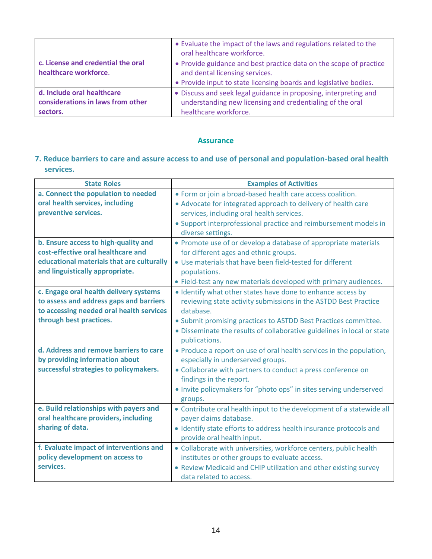|                                                                             | • Evaluate the impact of the laws and regulations related to the<br>oral healthcare workforce.                                                                            |
|-----------------------------------------------------------------------------|---------------------------------------------------------------------------------------------------------------------------------------------------------------------------|
| c. License and credential the oral<br>healthcare workforce.                 | • Provide guidance and best practice data on the scope of practice<br>and dental licensing services.<br>• Provide input to state licensing boards and legislative bodies. |
| d. Include oral healthcare<br>considerations in laws from other<br>sectors. | • Discuss and seek legal guidance in proposing, interpreting and<br>understanding new licensing and credentialing of the oral<br>healthcare workforce.                    |

#### **Assurance**

#### **7. Reduce barriers to care and assure access to and use of personal and population-based oral health services.**

| <b>State Roles</b>                        | <b>Examples of Activities</b>                                           |
|-------------------------------------------|-------------------------------------------------------------------------|
| a. Connect the population to needed       | • Form or join a broad-based health care access coalition.              |
| oral health services, including           | • Advocate for integrated approach to delivery of health care           |
| preventive services.                      | services, including oral health services.                               |
|                                           | • Support interprofessional practice and reimbursement models in        |
|                                           | diverse settings.                                                       |
| b. Ensure access to high-quality and      | • Promote use of or develop a database of appropriate materials         |
| cost-effective oral healthcare and        | for different ages and ethnic groups.                                   |
| educational materials that are culturally | • Use materials that have been field-tested for different               |
| and linguistically appropriate.           | populations.                                                            |
|                                           | • Field-test any new materials developed with primary audiences.        |
| c. Engage oral health delivery systems    | . Identify what other states have done to enhance access by             |
| to assess and address gaps and barriers   | reviewing state activity submissions in the ASTDD Best Practice         |
| to accessing needed oral health services  | database.                                                               |
| through best practices.                   | • Submit promising practices to ASTDD Best Practices committee.         |
|                                           | • Disseminate the results of collaborative guidelines in local or state |
|                                           | publications.                                                           |
| d. Address and remove barriers to care    | • Produce a report on use of oral health services in the population,    |
| by providing information about            | especially in underserved groups.                                       |
| successful strategies to policymakers.    | • Collaborate with partners to conduct a press conference on            |
|                                           | findings in the report.                                                 |
|                                           | . Invite policymakers for "photo ops" in sites serving underserved      |
|                                           | groups.                                                                 |
| e. Build relationships with payers and    | • Contribute oral health input to the development of a statewide all    |
| oral healthcare providers, including      | payer claims database.                                                  |
| sharing of data.                          | · Identify state efforts to address health insurance protocols and      |
|                                           | provide oral health input.                                              |
| f. Evaluate impact of interventions and   | • Collaborate with universities, workforce centers, public health       |
| policy development on access to           | institutes or other groups to evaluate access.                          |
| services.                                 | • Review Medicaid and CHIP utilization and other existing survey        |
|                                           | data related to access.                                                 |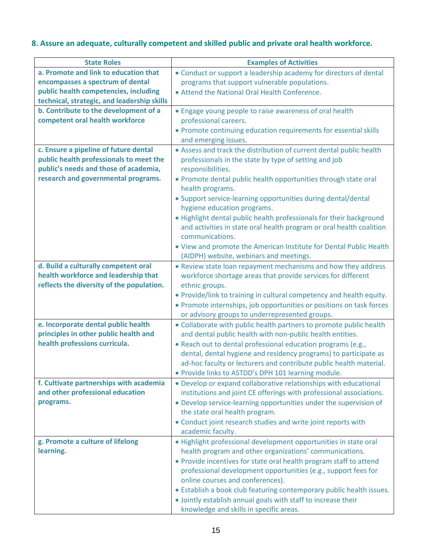#### **8. Assure an adequate, culturally competent and skilled public and private oral health workforce.**

| <b>State Roles</b>                          | <b>Examples of Activities</b>                                                                                               |
|---------------------------------------------|-----------------------------------------------------------------------------------------------------------------------------|
| a. Promote and link to education that       | • Conduct or support a leadership academy for directors of dental                                                           |
| encompasses a spectrum of dental            | programs that support vulnerable populations.                                                                               |
| public health competencies, including       | • Attend the National Oral Health Conference.                                                                               |
| technical, strategic, and leadership skills |                                                                                                                             |
| b. Contribute to the development of a       | • Engage young people to raise awareness of oral health                                                                     |
| competent oral health workforce             | professional careers.                                                                                                       |
|                                             | • Promote continuing education requirements for essential skills                                                            |
|                                             | and emerging issues.                                                                                                        |
| c. Ensure a pipeline of future dental       | • Assess and track the distribution of current dental public health                                                         |
| public health professionals to meet the     | professionals in the state by type of setting and job                                                                       |
| public's needs and those of academia,       | responsibilities.                                                                                                           |
| research and governmental programs.         | • Promote dental public health opportunities through state oral                                                             |
|                                             | health programs.                                                                                                            |
|                                             | • Support service-learning opportunities during dental/dental                                                               |
|                                             | hygiene education programs.                                                                                                 |
|                                             | . Highlight dental public health professionals for their background                                                         |
|                                             | and activities in state oral health program or oral health coalition                                                        |
|                                             | communications.                                                                                                             |
|                                             | . View and promote the American Institute for Dental Public Health                                                          |
|                                             | (AIDPH) website, webinars and meetings.                                                                                     |
| d. Build a culturally competent oral        | • Review state loan repayment mechanisms and how they address                                                               |
| health workforce and leadership that        | workforce shortage areas that provide services for different                                                                |
| reflects the diversity of the population.   | ethnic groups.                                                                                                              |
|                                             | • Provide/link to training in cultural competency and health equity.                                                        |
|                                             | • Promote internships, job opportunities or positions on task forces                                                        |
|                                             | or advisory groups to underrepresented groups.                                                                              |
| e. Incorporate dental public health         | • Collaborate with public health partners to promote public health                                                          |
| principles in other public health and       | and dental public health with non-public health entities.                                                                   |
| health professions curricula.               | . Reach out to dental professional education programs (e.g.,                                                                |
|                                             | dental, dental hygiene and residency programs) to participate as                                                            |
|                                             | ad-hoc faculty or lecturers and contribute public health material.                                                          |
|                                             | . Provide links to ASTDD's DPH 101 learning module.                                                                         |
| f. Cultivate partnerships with academia     | • Develop or expand collaborative relationships with educational                                                            |
| and other professional education            | institutions and joint CE offerings with professional associations.                                                         |
| programs.                                   | • Develop service-learning opportunities under the supervision of                                                           |
|                                             | the state oral health program.                                                                                              |
|                                             | • Conduct joint research studies and write joint reports with                                                               |
| g. Promote a culture of lifelong            | academic faculty.                                                                                                           |
| learning.                                   | • Highlight professional development opportunities in state oral<br>health program and other organizations' communications. |
|                                             | • Provide incentives for state oral health program staff to attend                                                          |
|                                             | professional development opportunities (e.g., support fees for                                                              |
|                                             | online courses and conferences).                                                                                            |
|                                             | • Establish a book club featuring contemporary public health issues.                                                        |
|                                             | . Jointly establish annual goals with staff to increase their                                                               |
|                                             |                                                                                                                             |
|                                             | knowledge and skills in specific areas.                                                                                     |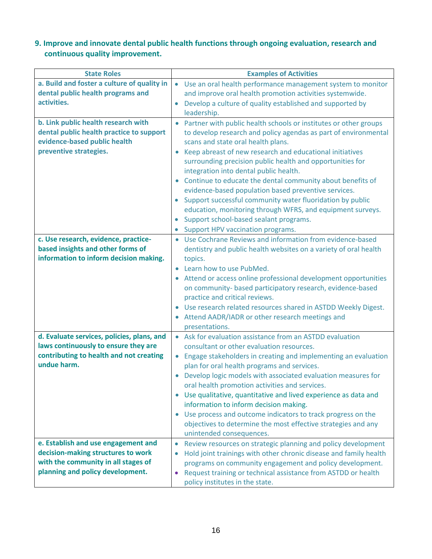#### **9. Improve and innovate dental public health functions through ongoing evaluation, research and continuous quality improvement.**

| <b>State Roles</b>                          | <b>Examples of Activities</b>                                                                |
|---------------------------------------------|----------------------------------------------------------------------------------------------|
| a. Build and foster a culture of quality in | Use an oral health performance management system to monitor<br>$\bullet$                     |
| dental public health programs and           | and improve oral health promotion activities systemwide.                                     |
| activities.                                 | Develop a culture of quality established and supported by<br>$\bullet$                       |
|                                             | leadership.                                                                                  |
| b. Link public health research with         | Partner with public health schools or institutes or other groups                             |
| dental public health practice to support    | to develop research and policy agendas as part of environmental                              |
| evidence-based public health                | scans and state oral health plans.                                                           |
| preventive strategies.                      | Keep abreast of new research and educational initiatives                                     |
|                                             | surrounding precision public health and opportunities for                                    |
|                                             | integration into dental public health.                                                       |
|                                             | Continue to educate the dental community about benefits of                                   |
|                                             | evidence-based population based preventive services.                                         |
|                                             | Support successful community water fluoridation by public<br>$\bullet$                       |
|                                             | education, monitoring through WFRS, and equipment surveys.                                   |
|                                             | Support school-based sealant programs.                                                       |
|                                             | Support HPV vaccination programs.                                                            |
| c. Use research, evidence, practice-        | • Use Cochrane Reviews and information from evidence-based                                   |
| based insights and other forms of           | dentistry and public health websites on a variety of oral health                             |
| information to inform decision making.      | topics.                                                                                      |
|                                             | Learn how to use PubMed.                                                                     |
|                                             | • Attend or access online professional development opportunities                             |
|                                             | on community- based participatory research, evidence-based<br>practice and critical reviews. |
|                                             | • Use research related resources shared in ASTDD Weekly Digest.                              |
|                                             | Attend AADR/IADR or other research meetings and                                              |
|                                             | presentations.                                                                               |
| d. Evaluate services, policies, plans, and  | • Ask for evaluation assistance from an ASTDD evaluation                                     |
| laws continuously to ensure they are        | consultant or other evaluation resources.                                                    |
| contributing to health and not creating     | Engage stakeholders in creating and implementing an evaluation                               |
| undue harm.                                 | plan for oral health programs and services.                                                  |
|                                             | Develop logic models with associated evaluation measures for                                 |
|                                             | oral health promotion activities and services.                                               |
|                                             | • Use qualitative, quantitative and lived experience as data and                             |
|                                             | information to inform decision making.                                                       |
|                                             | Use process and outcome indicators to track progress on the                                  |
|                                             | objectives to determine the most effective strategies and any                                |
|                                             | unintended consequences.                                                                     |
| e. Establish and use engagement and         | Review resources on strategic planning and policy development<br>$\bullet$                   |
| decision-making structures to work          | Hold joint trainings with other chronic disease and family health<br>$\bullet$               |
| with the community in all stages of         | programs on community engagement and policy development.                                     |
| planning and policy development.            | Request training or technical assistance from ASTDD or health                                |
|                                             | policy institutes in the state.                                                              |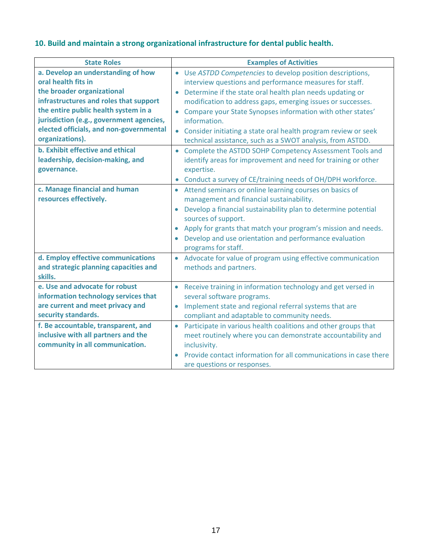#### **10. Build and maintain a strong organizational infrastructure for dental public health.**

| <b>State Roles</b>                       | <b>Examples of Activities</b>                                               |
|------------------------------------------|-----------------------------------------------------------------------------|
| a. Develop an understanding of how       | Use ASTDD Competencies to develop position descriptions,<br>$\bullet$       |
| oral health fits in                      | interview questions and performance measures for staff.                     |
| the broader organizational               | Determine if the state oral health plan needs updating or                   |
| infrastructures and roles that support   | modification to address gaps, emerging issues or successes.                 |
| the entire public health system in a     | Compare your State Synopses information with other states'                  |
| jurisdiction (e.g., government agencies, | information.                                                                |
| elected officials, and non-governmental  | Consider initiating a state oral health program review or seek              |
| organizations).                          | technical assistance, such as a SWOT analysis, from ASTDD.                  |
| <b>b. Exhibit effective and ethical</b>  | • Complete the ASTDD SOHP Competency Assessment Tools and                   |
| leadership, decision-making, and         | identify areas for improvement and need for training or other               |
| governance.                              | expertise.                                                                  |
|                                          | Conduct a survey of CE/training needs of OH/DPH workforce.                  |
| c. Manage financial and human            | Attend seminars or online learning courses on basics of                     |
| resources effectively.                   | management and financial sustainability.                                    |
|                                          | Develop a financial sustainability plan to determine potential              |
|                                          | sources of support.                                                         |
|                                          | Apply for grants that match your program's mission and needs.<br>$\bullet$  |
|                                          | Develop and use orientation and performance evaluation                      |
|                                          | programs for staff.                                                         |
| d. Employ effective communications       | Advocate for value of program using effective communication<br>$\bullet$    |
| and strategic planning capacities and    | methods and partners.                                                       |
| skills.                                  |                                                                             |
| e. Use and advocate for robust           | Receive training in information technology and get versed in<br>$\bullet$   |
| information technology services that     | several software programs.                                                  |
| are current and meet privacy and         | Implement state and regional referral systems that are                      |
| security standards.                      | compliant and adaptable to community needs.                                 |
| f. Be accountable, transparent, and      | Participate in various health coalitions and other groups that<br>$\bullet$ |
| inclusive with all partners and the      | meet routinely where you can demonstrate accountability and                 |
| community in all communication.          | inclusivity.                                                                |
|                                          | Provide contact information for all communications in case there            |
|                                          | are questions or responses.                                                 |